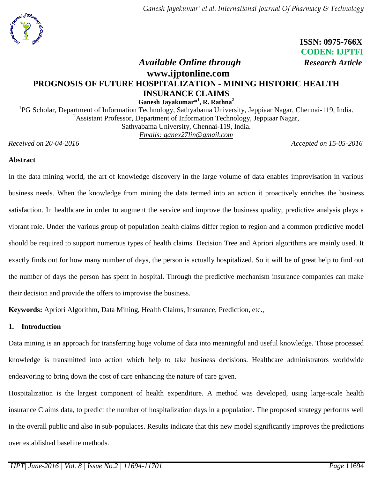

 **ISSN: 0975-766X CODEN: IJPTFI**

# *Available Online through Research Article* **www.ijptonline.com PROGNOSIS OF FUTURE HOSPITALIZATION - MINING HISTORIC HEALTH INSURANCE CLAIMS Ganesh Jayakumar\* 1 , R. Rathna<sup>2</sup>**

<sup>1</sup>PG Scholar, Department of Information Technology, Sathyabama University, Jeppiaar Nagar, Chennai-119, India. <sup>2</sup>Assistant Professor, Department of Information Technology, Jeppiaar Nagar, Sathyabama University, Chennai-119, India. *Emails: [ganex27lin@gmail.com](mailto:ganex27lin@gmail.com1)*

*Received on 20-04-2016 Accepted on 15-05-2016*

### **Abstract**

In the data mining world, the art of knowledge discovery in the large volume of data enables improvisation in various business needs. When the knowledge from mining the data termed into an action it proactively enriches the business satisfaction. In healthcare in order to augment the service and improve the business quality, predictive analysis plays a vibrant role. Under the various group of population health claims differ region to region and a common predictive model should be required to support numerous types of health claims. Decision Tree and Apriori algorithms are mainly used. It exactly finds out for how many number of days, the person is actually hospitalized. So it will be of great help to find out the number of days the person has spent in hospital. Through the predictive mechanism insurance companies can make their decision and provide the offers to improvise the business.

**Keywords:** Apriori Algorithm, Data Mining, Health Claims, Insurance, Prediction, etc.,

### **1. Introduction**

Data mining is an approach for transferring huge volume of data into meaningful and useful knowledge. Those processed knowledge is transmitted into action which help to take business decisions. Healthcare administrators worldwide endeavoring to bring down the cost of care enhancing the nature of care given.

Hospitalization is the largest component of health expenditure. A method was developed, using large-scale health insurance Claims data, to predict the number of hospitalization days in a population. The proposed strategy performs well in the overall public and also in sub-populaces. Results indicate that this new model significantly improves the predictions over established baseline methods.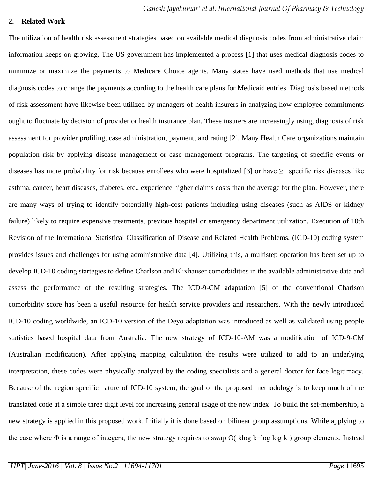#### **2. Related Work**

The utilization of health risk assessment strategies based on available medical diagnosis codes from administrative claim information keeps on growing. The US government has implemented a process [1] that uses medical diagnosis codes to minimize or maximize the payments to Medicare Choice agents. Many states have used methods that use medical diagnosis codes to change the payments according to the health care plans for Medicaid entries. Diagnosis based methods of risk assessment have likewise been utilized by managers of health insurers in analyzing how employee commitments ought to fluctuate by decision of provider or health insurance plan. These insurers are increasingly using, diagnosis of risk assessment for provider profiling, case administration, payment, and rating [2]. Many Health Care organizations maintain population risk by applying disease management or case management programs. The targeting of specific events or diseases has more probability for risk because enrollees who were hospitalized [3] or have  $\geq$ 1 specific risk diseases like asthma, cancer, heart diseases, diabetes, etc., experience higher claims costs than the average for the plan. However, there are many ways of trying to identify potentially high-cost patients including using diseases (such as AIDS or kidney failure) likely to require expensive treatments, previous hospital or emergency department utilization. Execution of 10th Revision of the International Statistical Classification of Disease and Related Health Problems, (ICD-10) coding system provides issues and challenges for using administrative data [4]. Utilizing this, a multistep operation has been set up to develop ICD-10 coding startegies to define Charlson and Elixhauser comorbidities in the available administrative data and assess the performance of the resulting strategies. The ICD-9-CM adaptation [5] of the conventional Charlson comorbidity score has been a useful resource for health service providers and researchers. With the newly introduced ICD-10 coding worldwide, an ICD-10 version of the Deyo adaptation was introduced as well as validated using people statistics based hospital data from Australia. The new strategy of ICD-10-AM was a modification of ICD-9-CM (Australian modification). After applying mapping calculation the results were utilized to add to an underlying interpretation, these codes were physically analyzed by the coding specialists and a general doctor for face legitimacy. Because of the region specific nature of ICD-10 system, the goal of the proposed methodology is to keep much of the translated code at a simple three digit level for increasing general usage of the new index. To build the set-membership, a new strategy is applied in this proposed work. Initially it is done based on bilinear group assumptions. While applying to the case where Φ is a range of integers, the new strategy requires to swap O( klog k−log log k ) group elements. Instead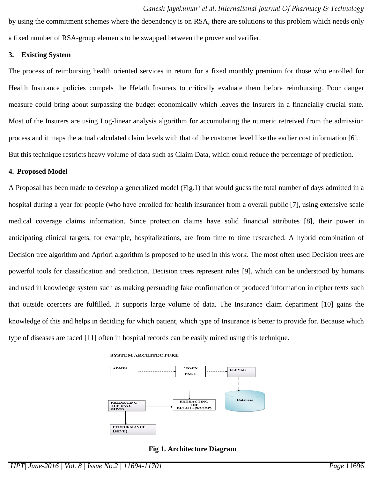by using the commitment schemes where the dependency is on RSA, there are solutions to this problem which needs only a fixed number of RSA-group elements to be swapped between the prover and verifier.

#### **3. Existing System**

The process of reimbursing health oriented services in return for a fixed monthly premium for those who enrolled for Health Insurance policies compels the Helath Insurers to critically evaluate them before reimbursing. Poor danger measure could bring about surpassing the budget economically which leaves the Insurers in a financially crucial state. Most of the Insurers are using Log-linear analysis algorithm for accumulating the numeric retreived from the admission process and it maps the actual calculated claim levels with that of the customer level like the earlier cost information [6]. But this technique restricts heavy volume of data such as Claim Data, which could reduce the percentage of prediction.

#### **4. Proposed Model**

A Proposal has been made to develop a generalized model (Fig.1) that would guess the total number of days admitted in a hospital during a year for people (who have enrolled for health insurance) from a overall public [7], using extensive scale medical coverage claims information. Since protection claims have solid financial attributes [8], their power in anticipating clinical targets, for example, hospitalizations, are from time to time researched. A hybrid combination of Decision tree algorithm and Apriori algorithm is proposed to be used in this work. The most often used Decision trees are powerful tools for classification and prediction. Decision trees represent rules [9], which can be understood by humans and used in knowledge system such as making persuading fake confirmation of produced information in cipher texts such that outside coercers are fulfilled. It supports large volume of data. The Insurance claim department [10] gains the knowledge of this and helps in deciding for which patient, which type of Insurance is better to provide for. Because which type of diseases are faced [11] often in hospital records can be easily mined using this technique.



#### **SYSTEM ARCHITECTURE**

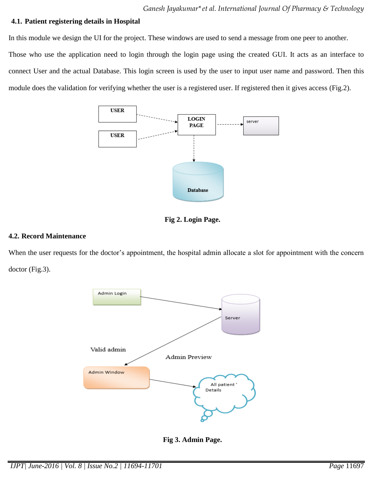## **4.1. Patient registering details in Hospital**

In this module we design the UI for the project. These windows are used to send a message from one peer to another. Those who use the application need to login through the login page using the created GUI. It acts as an interface to connect User and the actual Database. This login screen is used by the user to input user name and password. Then this module does the validation for verifying whether the user is a registered user. If registered then it gives access (Fig.2).





#### **4.2. Record Maintenance**

When the user requests for the doctor's appointment, the hospital admin allocate a slot for appointment with the concern doctor (Fig.3).



**Fig 3. Admin Page.**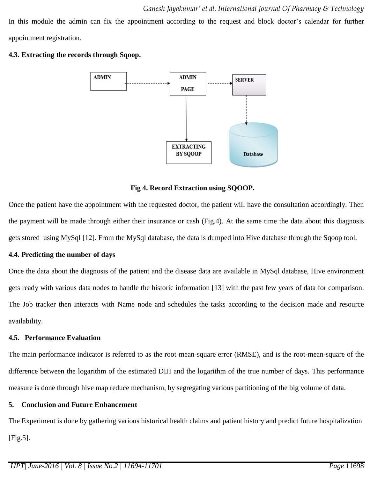In this module the admin can fix the appointment according to the request and block doctor's calendar for further appointment registration.





### **Fig 4. Record Extraction using SQOOP.**

Once the patient have the appointment with the requested doctor, the patient will have the consultation accordingly. Then the payment will be made through either their insurance or cash (Fig.4). At the same time the data about this diagnosis gets stored using MySql [12]. From the MySql database, the data is dumped into Hive database through the Sqoop tool.

### **4.4. Predicting the number of days**

Once the data about the diagnosis of the patient and the disease data are available in MySql database, Hive environment gets ready with various data nodes to handle the historic information [13] with the past few years of data for comparison. The Job tracker then interacts with Name node and schedules the tasks according to the decision made and resource availability.

### **4.5. Performance Evaluation**

The main performance indicator is referred to as the root-mean-square error (RMSE), and is the root-mean-square of the difference between the logarithm of the estimated DIH and the logarithm of the true number of days. This performance measure is done through hive map reduce mechanism, by segregating various partitioning of the big volume of data.

### **5. Conclusion and Future Enhancement**

The Experiment is done by gathering various historical health claims and patient history and predict future hospitalization [Fig.5].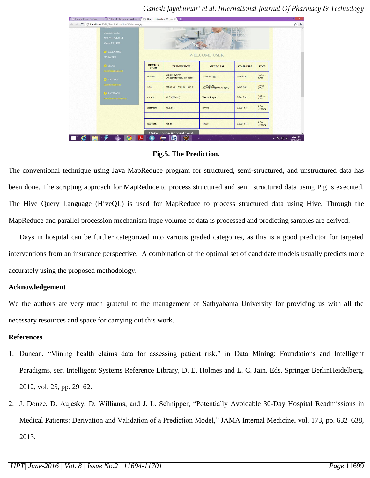$\Rightarrow$  C O localhost:808 WELCOME USER **DOCTOR**<br>NAME DESIGNATION **SPECIALIST** AVAILABLE TIME  $10Am-6Pm$ MBBS, DTCD,<br>DNB(Pulmonary Medicine) mahesh Mon-Sat  $^{10Am-}_{6Pm}$ SURGICAL<br>GASTROENTEROLOGY MS (Gen), MRCS (Edin.) Mon-Sat siva  $^{10Am-}_{6Pm}$ sunda M.Ch(Neuro) Neuro Surger Mon-Sat 9:30-<br>7:30pm Haribabu M.B.B.S fevers MON-SAT 9:30-<br>7:30pm goutham MBBS dentist MON-SAT Make Online Ap  $e \equiv$ ◉  $\in$   $\blacksquare$   $\clubsuit$ ÷  $\oplus$  $\circ$ ← 門 銀 4

*Ganesh Jayakumar\*et al. International Journal Of Pharmacy & Technology*

### **Fig.5. The Prediction.**

The conventional technique using Java MapReduce program for structured, semi-structured, and unstructured data has been done. The scripting approach for MapReduce to process structured and semi structured data using Pig is executed. The Hive Query Language (HiveQL) is used for MapReduce to process structured data using Hive. Through the MapReduce and parallel procession mechanism huge volume of data is processed and predicting samples are derived.

Days in hospital can be further categorized into various graded categories, as this is a good predictor for targeted interventions from an insurance perspective. A combination of the optimal set of candidate models usually predicts more accurately using the proposed methodology.

#### **Acknowledgement**

We the authors are very much grateful to the management of Sathyabama University for providing us with all the necessary resources and space for carrying out this work.

### **References**

- 1. Duncan, "Mining health claims data for assessing patient risk," in Data Mining: Foundations and Intelligent Paradigms, ser. Intelligent Systems Reference Library, D. E. Holmes and L. C. Jain, Eds. Springer BerlinHeidelberg, 2012, vol. 25, pp. 29–62.
- 2. J. Donze, D. Aujesky, D. Williams, and J. L. Schnipper, "Potentially Avoidable 30-Day Hospital Readmissions in Medical Patients: Derivation and Validation of a Prediction Model," JAMA Internal Medicine, vol. 173, pp. 632–638, 2013.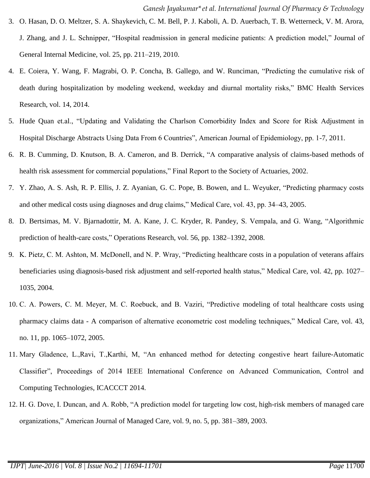- 3. O. Hasan, D. O. Meltzer, S. A. Shaykevich, C. M. Bell, P. J. Kaboli, A. D. Auerbach, T. B. Wetterneck, V. M. Arora, J. Zhang, and J. L. Schnipper, "Hospital readmission in general medicine patients: A prediction model," Journal of General Internal Medicine, vol. 25, pp. 211–219, 2010.
- 4. E. Coiera, Y. Wang, F. Magrabi, O. P. Concha, B. Gallego, and W. Runciman, "Predicting the cumulative risk of death during hospitalization by modeling weekend, weekday and diurnal mortality risks," BMC Health Services Research, vol. 14, 2014.
- 5. [Hude Quan](http://aje.oxfordjournals.org/search?author1=Hude+Quan&sortspec=date&submit=Submit) et.al., "Updating and Validating the Charlson Comorbidity Index and Score for Risk Adjustment in Hospital Discharge Abstracts Using Data From 6 Countries", American Journal of Epidemiology, pp. 1-7, 2011.
- 6. R. B. Cumming, D. Knutson, B. A. Cameron, and B. Derrick, "A comparative analysis of claims-based methods of health risk assessment for commercial populations," Final Report to the Society of Actuaries, 2002.
- 7. Y. Zhao, A. S. Ash, R. P. Ellis, J. Z. Ayanian, G. C. Pope, B. Bowen, and L. Weyuker, "Predicting pharmacy costs and other medical costs using diagnoses and drug claims," Medical Care, vol. 43, pp. 34–43, 2005.
- 8. D. Bertsimas, M. V. Bjarnadottir, M. A. Kane, J. C. Kryder, R. Pandey, S. Vempala, and G. Wang, "Algorithmic prediction of health-care costs," Operations Research, vol. 56, pp. 1382–1392, 2008.
- 9. K. Pietz, C. M. Ashton, M. McDonell, and N. P. Wray, "Predicting healthcare costs in a population of veterans affairs beneficiaries using diagnosis-based risk adjustment and self-reported health status," Medical Care, vol. 42, pp. 1027– 1035, 2004.
- 10. C. A. Powers, C. M. Meyer, M. C. Roebuck, and B. Vaziri, "Predictive modeling of total healthcare costs using pharmacy claims data - A comparison of alternative econometric cost modeling techniques," Medical Care, vol. 43, no. 11, pp. 1065–1072, 2005.
- 11. Mary Gladence, L.,Ravi, T.,Karthi, M, "An enhanced method for detecting congestive heart failure-Automatic Classifier", Proceedings of 2014 IEEE International Conference on Advanced Communication, Control and Computing Technologies, ICACCCT 2014.
- 12. H. G. Dove, I. Duncan, and A. Robb, "A prediction model for targeting low cost, high-risk members of managed care organizations," American Journal of Managed Care, vol. 9, no. 5, pp. 381–389, 2003.